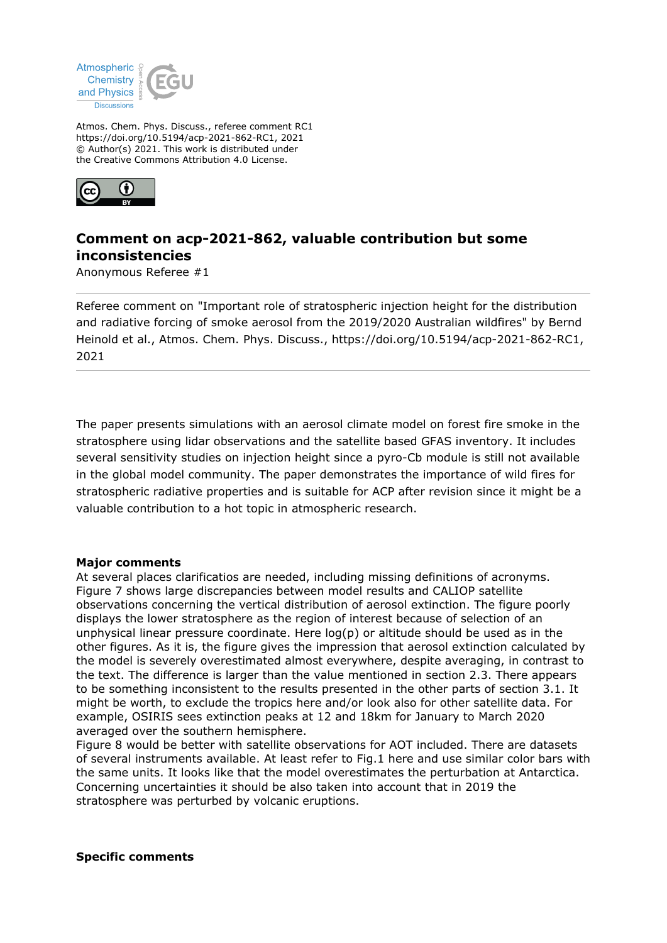

Atmos. Chem. Phys. Discuss., referee comment RC1 https://doi.org/10.5194/acp-2021-862-RC1, 2021 © Author(s) 2021. This work is distributed under the Creative Commons Attribution 4.0 License.



## **Comment on acp-2021-862, valuable contribution but some inconsistencies**

Anonymous Referee #1

Referee comment on "Important role of stratospheric injection height for the distribution and radiative forcing of smoke aerosol from the 2019/2020 Australian wildfires" by Bernd Heinold et al., Atmos. Chem. Phys. Discuss., https://doi.org/10.5194/acp-2021-862-RC1, 2021

The paper presents simulations with an aerosol climate model on forest fire smoke in the stratosphere using lidar observations and the satellite based GFAS inventory. It includes several sensitivity studies on injection height since a pyro-Cb module is still not available in the global model community. The paper demonstrates the importance of wild fires for stratospheric radiative properties and is suitable for ACP after revision since it might be a valuable contribution to a hot topic in atmospheric research.

## **Major comments**

At several places clarificatios are needed, including missing definitions of acronyms. Figure 7 shows large discrepancies between model results and CALIOP satellite observations concerning the vertical distribution of aerosol extinction. The figure poorly displays the lower stratosphere as the region of interest because of selection of an unphysical linear pressure coordinate. Here  $log(p)$  or altitude should be used as in the other figures. As it is, the figure gives the impression that aerosol extinction calculated by the model is severely overestimated almost everywhere, despite averaging, in contrast to the text. The difference is larger than the value mentioned in section 2.3. There appears to be something inconsistent to the results presented in the other parts of section 3.1. It might be worth, to exclude the tropics here and/or look also for other satellite data. For example, OSIRIS sees extinction peaks at 12 and 18km for January to March 2020 averaged over the southern hemisphere.

Figure 8 would be better with satellite observations for AOT included. There are datasets of several instruments available. At least refer to Fig.1 here and use similar color bars with the same units. It looks like that the model overestimates the perturbation at Antarctica. Concerning uncertainties it should be also taken into account that in 2019 the stratosphere was perturbed by volcanic eruptions.

## **Specific comments**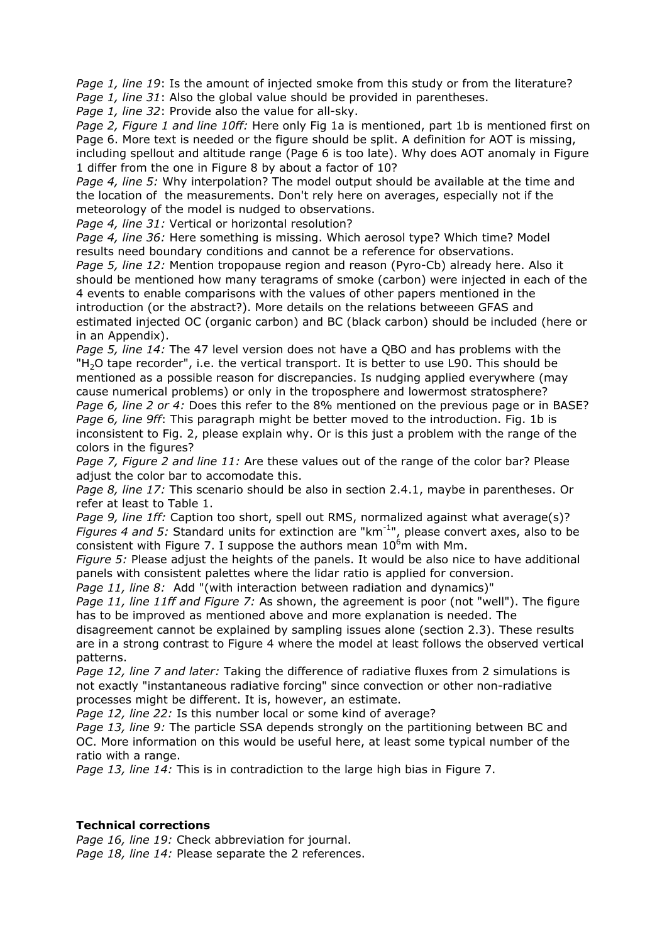*Page 1, line 19*: Is the amount of injected smoke from this study or from the literature? *Page 1, line 31*: Also the global value should be provided in parentheses.

*Page 1, line 32*: Provide also the value for all-sky.

*Page 2, Figure 1 and line 10ff:* Here only Fig 1a is mentioned, part 1b is mentioned first on Page 6. More text is needed or the figure should be split. A definition for AOT is missing, including spellout and altitude range (Page 6 is too late). Why does AOT anomaly in Figure 1 differ from the one in Figure 8 by about a factor of 10?

*Page 4, line 5:* Why interpolation? The model output should be available at the time and the location of the measurements. Don't rely here on averages, especially not if the meteorology of the model is nudged to observations.

*Page 4, line 31:* Vertical or horizontal resolution?

*Page 4, line 36:* Here something is missing. Which aerosol type? Which time? Model results need boundary conditions and cannot be a reference for observations.

*Page 5, line 12:* Mention tropopause region and reason (Pyro-Cb) already here. Also it should be mentioned how many teragrams of smoke (carbon) were injected in each of the 4 events to enable comparisons with the values of other papers mentioned in the introduction (or the abstract?). More details on the relations betweeen GFAS and estimated injected OC (organic carbon) and BC (black carbon) should be included (here or in an Appendix).

*Page 5, line 14:* The 47 level version does not have a QBO and has problems with the  $H<sub>2</sub>O$  tape recorder", i.e. the vertical transport. It is better to use L90. This should be mentioned as a possible reason for discrepancies. Is nudging applied everywhere (may cause numerical problems) or only in the troposphere and lowermost stratosphere? *Page 6, line 2 or 4:* Does this refer to the 8% mentioned on the previous page or in BASE? *Page 6, line 9ff*: This paragraph might be better moved to the introduction. Fig. 1b is inconsistent to Fig. 2, please explain why. Or is this just a problem with the range of the colors in the figures?

*Page 7, Figure 2 and line 11:* Are these values out of the range of the color bar? Please adjust the color bar to accomodate this.

*Page 8, line 17:* This scenario should be also in section 2.4.1, maybe in parentheses. Or refer at least to Table 1.

*Page 9, line 1ff:* Caption too short, spell out RMS, normalized against what average(s)? *Figures 4 and 5:* Standard units for extinction are "km<sup>-1</sup>", please convert axes, also to be consistent with Figure 7. I suppose the authors mean  $10^{6}$ m with Mm.

*Figure 5:* Please adjust the heights of the panels. It would be also nice to have additional panels with consistent palettes where the lidar ratio is applied for conversion.

*Page 11, line 8:* Add "(with interaction between radiation and dynamics)"

*Page 11, line 11ff and Figure 7:* As shown, the agreement is poor (not "well"). The figure has to be improved as mentioned above and more explanation is needed. The

disagreement cannot be explained by sampling issues alone (section 2.3). These results are in a strong contrast to Figure 4 where the model at least follows the observed vertical patterns.

*Page 12, line 7 and later:* Taking the difference of radiative fluxes from 2 simulations is not exactly "instantaneous radiative forcing" since convection or other non-radiative processes might be different. It is, however, an estimate.

*Page 12, line 22:* Is this number local or some kind of average?

*Page 13, line 9:* The particle SSA depends strongly on the partitioning between BC and OC. More information on this would be useful here, at least some typical number of the ratio with a range.

*Page 13, line 14:* This is in contradiction to the large high bias in Figure 7.

## **Technical corrections**

*Page 16, line 19:* Check abbreviation for journal. *Page 18, line 14:* Please separate the 2 references.